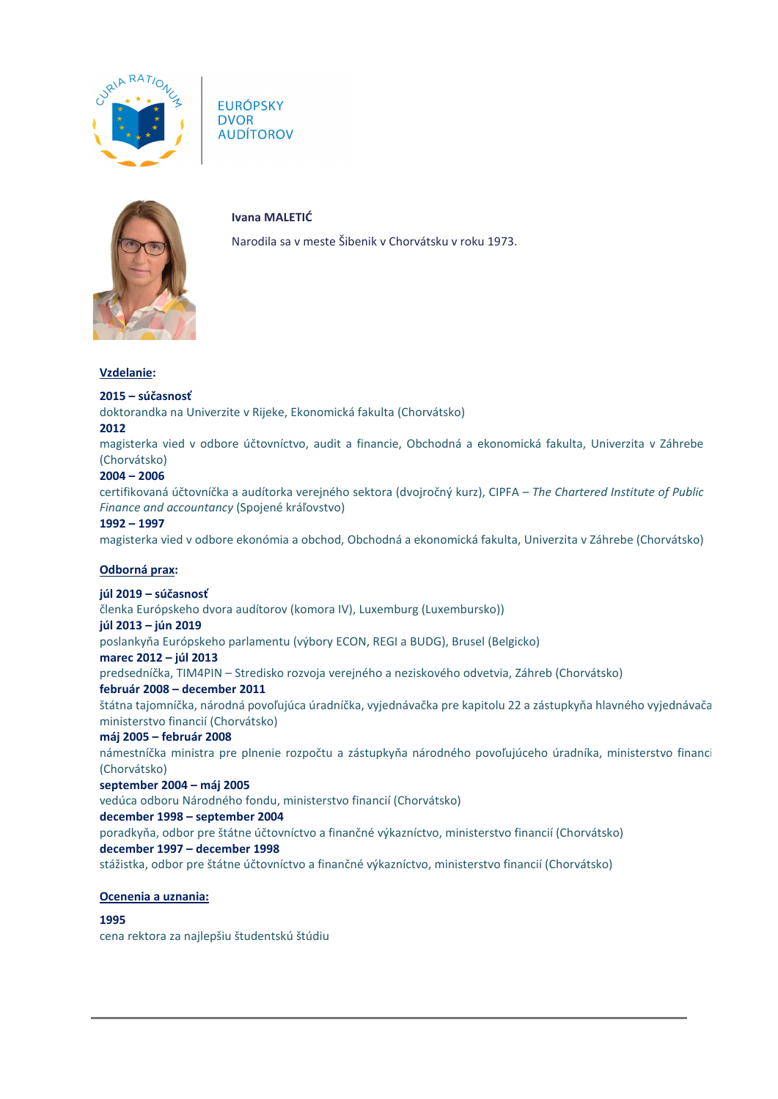

**EURÓPSKY DVOR AUDÍTOROV** 



**Ivana MALETIĆ**

Narodila sa v meste Šibenik v Chorvátsku v roku 1973.

#### **Vzdelanie:**

## **2015 – súčasnosť**

doktorandka na Univerzite v Rijeke, Ekonomická fakulta (Chorvátsko)

## **2012**

magisterka vied v odbore účtovníctvo, audit a financie, Obchodná a ekonomická fakulta, Univerzita v Záhrebe (Chorvátsko)

## **2004 – 2006**

certifikovaná účtovníčka a audítorka verejného sektora (dvojročný kurz), CIPFA – *The Chartered Institute of Public Finance and accountancy* (Spojené kráľovstvo)

#### **1992 – 1997**

magisterka vied v odbore ekonómia a obchod, Obchodná a ekonomická fakulta, Univerzita v Záhrebe (Chorvátsko)

#### **Odborná prax:**

# **júl 2019 – súčasnosť**

členka Európskeho dvora audítorov (komora IV), Luxemburg (Luxembursko))

#### **júl 2013 – jún 2019**

poslankyňa Európskeho parlamentu (výbory ECON, REGI a BUDG), Brusel (Belgicko)

#### **marec 2012 – júl 2013**

predsedníčka, TIM4PIN – Stredisko rozvoja verejného a neziskového odvetvia, Záhreb (Chorvátsko)

#### **február 2008 – december 2011**

štátna tajomníčka, národná povoľujúca úradníčka, vyjednávačka pre kapitolu 22 a zástupkyňa hlavného vyjednávača ministerstvo financií (Chorvátsko)

#### **máj 2005 – február 2008**

námestníčka ministra pre plnenie rozpočtu a zástupkyňa národného povoľujúceho úradníka, ministerstvo financi (Chorvátsko)

#### **september 2004 – máj 2005**

vedúca odboru Národného fondu, ministerstvo financií (Chorvátsko)

#### **december 1998 – september 2004**

poradkyňa, odbor pre štátne účtovníctvo a finančné výkazníctvo, ministerstvo financií (Chorvátsko)

#### **december 1997 – december 1998**

stážistka, odbor pre štátne účtovníctvo a finančné výkazníctvo, ministerstvo financií (Chorvátsko)

#### **Ocenenia a uznania:**

#### **1995**

cena rektora za najlepšiu študentskú štúdiu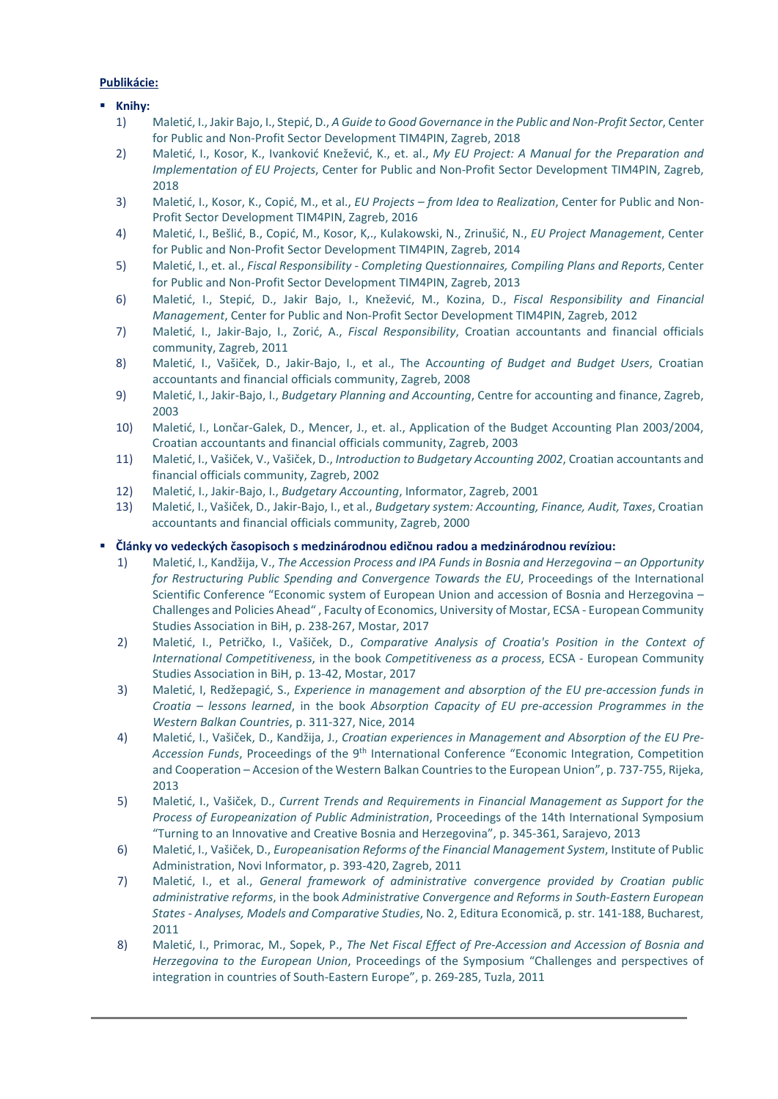## **Publikácie:**

## **Knihy:**

- 1) Maletić, I., Jakir Bajo, I., Stepić, D., *A Guide to Good Governance in the Public and Non-Profit Sector*, Center for Public and Non-Profit Sector Development TIM4PIN, Zagreb, 2018
- 2) Maletić, I., Kosor, K., Ivanković Knežević, K., et. al., *My EU Project: A Manual for the Preparation and Implementation of EU Projects*, Center for Public and Non-Profit Sector Development TIM4PIN, Zagreb, 2018
- 3) Maletić, I., Kosor, K., Copić, M., et al., *EU Projects – from Idea to Realization*, Center for Public and Non-Profit Sector Development TIM4PIN, Zagreb, 2016
- 4) Maletić, I., Bešlić, B., Copić, M., Kosor, K,., Kulakowski, N., Zrinušić, N., *EU Project Management*, Center for Public and Non-Profit Sector Development TIM4PIN, Zagreb, 2014
- 5) Maletić, I., et. al., *Fiscal Responsibility - Completing Questionnaires, Compiling Plans and Reports*, Center for Public and Non-Profit Sector Development TIM4PIN, Zagreb, 2013
- 6) Maletić, I., Stepić, D., Jakir Bajo, I., Knežević, M., Kozina, D., *Fiscal Responsibility and Financial Management*, Center for Public and Non-Profit Sector Development TIM4PIN, Zagreb, 2012
- 7) Maletić, I., Jakir-Bajo, I., Zorić, A., *Fiscal Responsibility*, Croatian accountants and financial officials community, Zagreb, 2011
- 8) Maletić, I., Vašiček, D., Jakir-Bajo, I., et al., The A*ccounting of Budget and Budget Users*, Croatian accountants and financial officials community, Zagreb, 2008
- 9) Maletić, I., Jakir-Bajo, I., *Budgetary Planning and Accounting*, Centre for accounting and finance, Zagreb, 2003
- 10) Maletić, I., Lončar-Galek, D., Mencer, J., et. al., Application of the Budget Accounting Plan 2003/2004, Croatian accountants and financial officials community, Zagreb, 2003
- 11) Maletić, I., Vašiček, V., Vašiček, D., *Introduction to Budgetary Accounting 2002*, Croatian accountants and financial officials community, Zagreb, 2002
- 12) Maletić, I., Jakir-Bajo, I., *Budgetary Accounting*, Informator, Zagreb, 2001
- 13) Maletić, I., Vašiček, D., Jakir-Bajo, I., et al., *Budgetary system: Accounting, Finance, Audit, Taxes*, Croatian accountants and financial officials community, Zagreb, 2000

## **Články vo vedeckých časopisoch s medzinárodnou edičnou radou a medzinárodnou revíziou:**

- 1) Maletić, I., Kandžija, V., *The Accession Process and IPA Funds in Bosnia and Herzegovina – an Opportunity for Restructuring Public Spending and Convergence Towards the EU*, Proceedings of the International Scientific Conference "Economic system of European Union and accession of Bosnia and Herzegovina – Challenges and Policies Ahead" , Faculty of Economics, University of Mostar, ECSA - European Community Studies Association in BiH, p. 238-267, Mostar, 2017
- 2) Maletić, I., Petričko, I., Vašiček, D., *Comparative Analysis of Croatia's Position in the Context of International Competitiveness*, in the book *Competitiveness as a process*, ECSA - European Community Studies Association in BiH, p. 13-42, Mostar, 2017
- 3) Maletić, I, Redžepagić, S., *Experience in management and absorption of the EU pre-accession funds in Croatia – lessons learned*, in the book *Absorption Capacity of EU pre-accession Programmes in the Western Balkan Countries*, p. 311-327, Nice, 2014
- 4) Maletić, I., Vašiček, D., Kandžija, J., *Croatian experiences in Management and Absorption of the EU Pre-Accession Funds*, Proceedings of the 9th International Conference "Economic Integration, Competition and Cooperation – Accesion of the Western Balkan Countries to the European Union", p. 737-755, Rijeka, 2013
- 5) Maletić, I., Vašiček, D., *Current Trends and Requirements in Financial Management as Support for the Process of Europeanization of Public Administration*, Proceedings of the 14th International Symposium "Turning to an Innovative and Creative Bosnia and Herzegovina", p. 345-361, Sarajevo, 2013
- 6) Maletić, I., Vašiček, D., *Europeanisation Reforms of the Financial Management System*, Institute of Public Administration, Novi Informator, p. 393-420, Zagreb, 2011
- 7) Maletić, I., et al., *General framework of administrative convergence provided by Croatian public administrative reforms*, in the book *Administrative Convergence and Reforms in South-Eastern European States - Analyses, Models and Comparative Studies*, No. 2, Editura Economică, p. str. 141-188, Bucharest, 2011
- 8) Maletić, I., Primorac, M., Sopek, P., *The Net Fiscal Effect of Pre-Accession and Accession of Bosnia and Herzegovina to the European Union*, Proceedings of the Symposium "Challenges and perspectives of integration in countries of South-Eastern Europe", p. 269-285, Tuzla, 2011